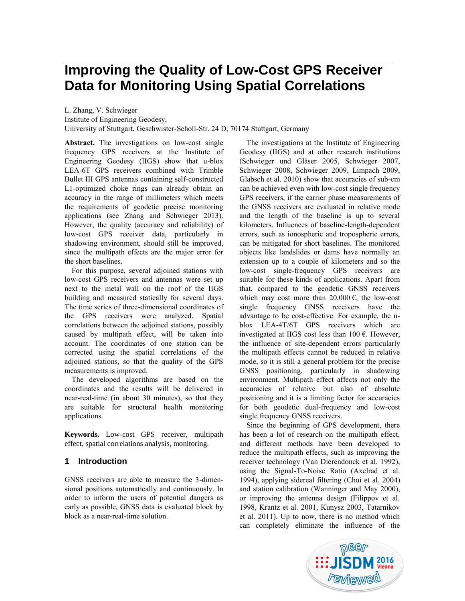# **Improving the Quality of Low-Cost GPS Receiver Data for Monitoring Using Spatial Correlations**

L. Zhang, V. Schwieger

Institute of Engineering Geodesy,

University of Stuttgart, Geschwister-Scholl-Str. 24 D, 70174 Stuttgart, Germany

**Abstract.** The investigations on low-cost single frequency GPS receivers at the Institute of Engineering Geodesy (IIGS) show that u-blox LEA-6T GPS receivers combined with Trimble Bullet III GPS antennas containing self-constructed L1-optimized choke rings can already obtain an accuracy in the range of millimeters which meets the requirements of geodetic precise monitoring applications (see Zhang and Schwieger 2013). However, the quality (accuracy and reliability) of low-cost GPS receiver data, particularly in shadowing environment, should still be improved, since the multipath effects are the major error for the short baselines.

For this purpose, several adjoined stations with low-cost GPS receivers and antennas were set up next to the metal wall on the roof of the IIGS building and measured statically for several days. The time series of three-dimensional coordinates of the GPS receivers were analyzed. Spatial correlations between the adjoined stations, possibly caused by multipath effect, will be taken into account. The coordinates of one station can be corrected using the spatial correlations of the adjoined stations, so that the quality of the GPS measurements is improved.

The developed algorithms are based on the coordinates and the results will be delivered in near-real-time (in about 30 minutes), so that they are suitable for structural health monitoring applications.

**Keywords.** Low-cost GPS receiver, multipath effect, spatial correlations analysis, monitoring.

## **1 Introduction**

GNSS receivers are able to measure the 3-dimensional positions automatically and continuously. In order to inform the users of potential dangers as early as possible, GNSS data is evaluated block by block as a near-real-time solution.

The investigations at the Institute of Engineering Geodesy (IIGS) and at other research institutions (Schwieger und Gläser 2005, Schwieger 2007, Schwieger 2008, Schwieger 2009, Limpach 2009, Glabsch et al. 2010) show that accuracies of sub-cm can be achieved even with low-cost single frequency GPS receivers, if the carrier phase measurements of the GNSS receivers are evaluated in relative mode and the length of the baseline is up to several kilometers. Influences of baseline-length-dependent errors, such as ionospheric and tropospheric errors, can be mitigated for short baselines. The monitored objects like landslides or dams have normally an extension up to a couple of kilometers and so the low-cost single-frequency GPS receivers are suitable for these kinds of applications. Apart from that, compared to the geodetic GNSS receivers which may cost more than  $20,000 \in$ , the low-cost single frequency GNSS receivers have the advantage to be cost-effective. For example, the ublox LEA-4T/6T GPS receivers which are investigated at IIGS cost less than  $100 \text{ } \in$ . However, the influence of site-dependent errors particularly the multipath effects cannot be reduced in relative mode, so it is still a general problem for the precise GNSS positioning, particularly in shadowing environment. Multipath effect affects not only the accuracies of relative but also of absolute positioning and it is a limiting factor for accuracies for both geodetic dual-frequency and low-cost single frequency GNSS receivers.

Since the beginning of GPS development, there has been a lot of research on the multipath effect, and different methods have been developed to reduce the multipath effects, such as improving the receiver technology (Van Dierendonck et al. 1992), using the Signal-To-Noise Ratio (Axelrad et al. 1994), applying sidereal filtering (Choi et al. 2004) and station calibration (Wanninger and May 2000), or improving the antenna design (Filippov et al. 1998, Krantz et al. 2001, Kunysz 2003, Tatarnikov et al. 2011). Up to now, there is no method which can completely eliminate the influence of the

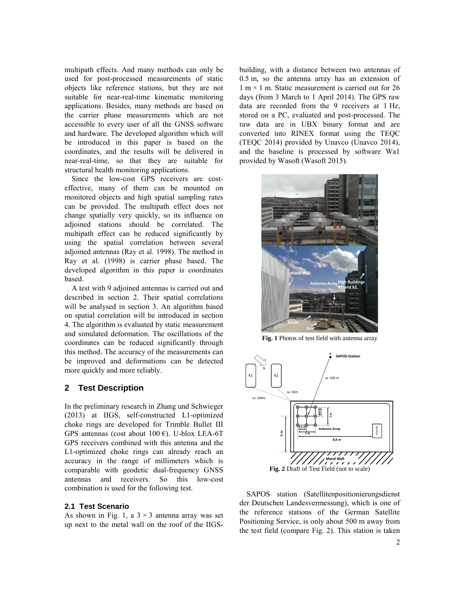multipath effects. And many methods can only be used for post-processed measurements of static objects like reference stations, but they are not suitable for near-real-time kinematic monitoring applications. Besides, many methods are based on the carrier phase measurements which are not accessible to every user of all the GNSS software and hardware. The developed algorithm which will be introduced in this paper is based on the coordinates, and the results will be delivered in near-real-time, so that they are suitable for structural health monitoring applications.

Since the low-cost GPS receivers are costeffective, many of them can be mounted on monitored objects and high spatial sampling rates can be provided. The multipath effect does not change spatially very quickly, so its influence on adjoined stations should be correlated. The multipath effect can be reduced significantly by using the spatial correlation between several adjoined antennas (Ray et al. 1998). The method in Ray et al. (1998) is carrier phase based. The developed algorithm in this paper is coordinates based.

A test with 9 adjoined antennas is carried out and described in section 2. Their spatial correlations will be analysed in section 3. An algorithm based on spatial correlation will be introduced in section 4. The algorithm is evaluated by static measurement and simulated deformation. The oscillations of the coordinates can be reduced significantly through this method. The accuracy of the measurements can be improved and deformations can be detected more quickly and more reliably.

## **2 Test Description**

In the preliminary research in Zhang und Schwieger (2013) at IIGS, self-constructed L1-optimized choke rings are developed for Trimble Bullet III GPS antennas (cost about 100 €). U-blox LEA-6T GPS receivers combined with this antenna and the L1-optimized choke rings can already reach an accuracy in the range of millimeters which is comparable with geodetic dual-frequency GNSS antennas and receivers. So this low-cost combination is used for the following test.

#### **2.1 Test Scenario**

As shown in [Fig. 1,](#page-1-0) a  $3 \times 3$  antenna array was set up next to the metal wall on the roof of the IIGS-

building, with a distance between two antennas of 0.5 m, so the antenna array has an extension of  $1 m \times 1 m$ . Static measurement is carried out for 26 days (from 3 March to 1 April 2014). The GPS raw data are recorded from the 9 receivers at 1 Hz, stored on a PC, evaluated and post-processed. The raw data are in UBX binary format and are converted into RINEX format using the TEQC (TEQC 2014) provided by Unavco (Unavco 2014), and the baseline is processed by software Wa1 provided by Wasoft (Wasoft 2015).



**Fig. 1** Photos of test field with antenna array

<span id="page-1-0"></span>

<span id="page-1-1"></span>SAPOS station (Satellitenpositionierungsdienst der Deutschen Landesvermessung), which is one of the reference stations of the German Satellite Positioning Service, is only about 500 m away from the test field (compare [Fig. 2\)](#page-1-1). This station is taken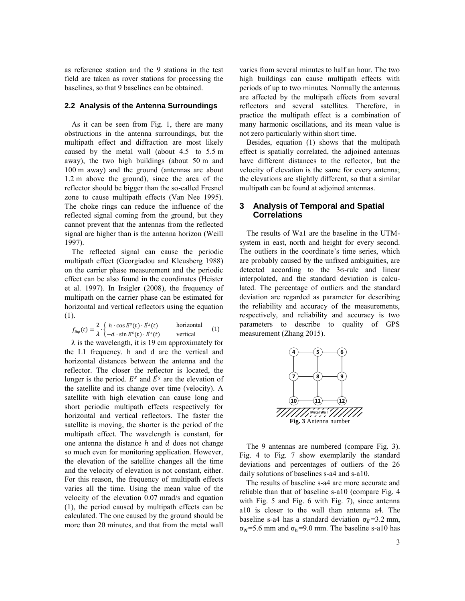as reference station and the 9 stations in the test field are taken as rover stations for processing the baselines, so that 9 baselines can be obtained.

#### **2.2 Analysis of the Antenna Surroundings**

As it can be seen from [Fig. 1,](#page-1-0) there are many obstructions in the antenna surroundings, but the multipath effect and diffraction are most likely caused by the metal wall (about 4.5 to 5.5 m away), the two high buildings (about 50 m and 100 m away) and the ground (antennas are about 1.2 m above the ground), since the area of the reflector should be bigger than the so-called Fresnel zone to cause multipath effects (Van Nee 1995). The choke rings can reduce the influence of the reflected signal coming from the ground, but they cannot prevent that the antennas from the reflected signal are higher than is the antenna horizon (Weill 1997).

The reflected signal can cause the periodic multipath effect (Georgiadou and Kleusberg 1988) on the carrier phase measurement and the periodic effect can be also found in the coordinates (Heister et al. 1997). In Irsigler (2008), the frequency of multipath on the carrier phase can be estimated for horizontal and vertical reflectors using the equation [\(1\).](#page-2-0)

$$
f_{\delta\varphi}(t) = \frac{2}{\lambda} \cdot \begin{cases} h \cdot \cos E^{s}(t) \cdot E^{s}(t) & \text{horizontal} \\ -d \cdot \sin E^{s}(t) \cdot E^{s}(t) & \text{vertical} \end{cases} (1)
$$

 $\lambda$  is the wavelength, it is 19 cm approximately for the L1 frequency. h and d are the vertical and horizontal distances between the antenna and the reflector. The closer the reflector is located, the longer is the period.  $E^s$  and  $\dot{E}^s$  are the elevation of the satellite and its change over time (velocity). A satellite with high elevation can cause long and short periodic multipath effects respectively for horizontal and vertical reflectors. The faster the satellite is moving, the shorter is the period of the multipath effect. The wavelength is constant, for one antenna the distance  $h$  and  $d$  does not change so much even for monitoring application. However, the elevation of the satellite changes all the time and the velocity of elevation is not constant, either. For this reason, the frequency of multipath effects varies all the time. Using the mean value of the velocity of the elevation 0.07 mrad/s and equation [\(1\),](#page-2-0) the period caused by multipath effects can be calculated. The one caused by the ground should be more than 20 minutes, and that from the metal wall

varies from several minutes to half an hour. The two high buildings can cause multipath effects with periods of up to two minutes. Normally the antennas are affected by the multipath effects from several reflectors and several satellites. Therefore, in practice the multipath effect is a combination of many harmonic oscillations, and its mean value is not zero particularly within short time.

Besides, equation [\(1\)](#page-2-0) shows that the multipath effect is spatially correlated, the adjoined antennas have different distances to the reflector, but the velocity of elevation is the same for every antenna; the elevations are slightly different, so that a similar multipath can be found at adjoined antennas.

## **3 Analysis of Temporal and Spatial Correlations**

The results of Wa1 are the baseline in the UTMsystem in east, north and height for every second. The outliers in the coordinate's time series, which are probably caused by the unfixed ambiguities, are detected according to the 3σ-rule and linear interpolated, and the standard deviation is calculated. The percentage of outliers and the standard deviation are regarded as parameter for describing the reliability and accuracy of the measurements, respectively, and reliability and accuracy is two parameters to describe to quality of GPS measurement (Zhang 2015).

<span id="page-2-0"></span>

<span id="page-2-1"></span>The 9 antennas are numbered (compare [Fig. 3\)](#page-2-1). [Fig. 4](#page-3-0) to [Fig. 7](#page-3-1) show exemplarily the standard deviations and percentages of outliers of the 26 daily solutions of baselines s-a4 and s-a10.

The results of baseline s-a4 are more accurate and reliable than that of baseline s-a10 (compare [Fig. 4](#page-3-0)  with [Fig. 5](#page-3-2) and [Fig. 6](#page-3-3) with [Fig. 7\)](#page-3-1), since antenna a10 is closer to the wall than antenna a4. The baseline s-a4 has a standard deviation  $\sigma_E$ =3.2 mm,  $σ<sub>N</sub>=5.6$  mm and  $σ<sub>h</sub>=9.0$  mm. The baseline s-a10 has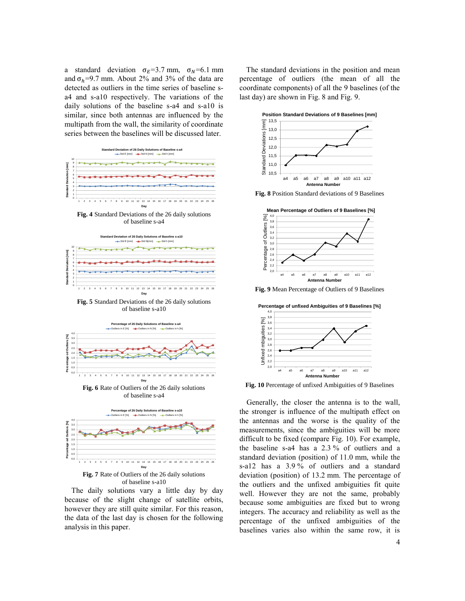a standard deviation  $\sigma_E = 3.7$  mm,  $\sigma_N = 6.1$  mm and  $\sigma_h$ =9.7 mm. About 2% and 3% of the data are detected as outliers in the time series of baseline sa4 and s-a10 respectively. The variations of the daily solutions of the baseline s-a4 and s-a10 is similar, since both antennas are influenced by the multipath from the wall, the similarity of coordinate series between the baselines will be discussed later.



<span id="page-3-0"></span>**Fig. 4** Standard Deviations of the 26 daily solutions of baseline s-a4



<span id="page-3-2"></span>**Fig. 5** Standard Deviations of the 26 daily solutions of baseline s-a10

<span id="page-3-3"></span>

**Fig. 7** Rate of Outliers of the 26 daily solutions of baseline s-a10 **Day**

1 2 3 4 5 6 7 8 9 10 11 12 13 14 15 16 17 18 19 20 21 22 23 24 25 26

<span id="page-3-1"></span>0,0

The daily solutions vary a little day by day because of the slight change of satellite orbits, however they are still quite similar. For this reason, the data of the last day is chosen for the following analysis in this paper.

The standard deviations in the position and mean percentage of outliers (the mean of all the coordinate components) of all the 9 baselines (of the last day) are shown i[n Fig. 8](#page-3-4) and [Fig. 9.](#page-3-5)



<span id="page-3-4"></span>**Fig. 8** Position Standard deviations of 9 Baselines



<span id="page-3-5"></span>**Fig. 9** Mean Percentage of Outliers of 9 Baselines

**Percentage of unfixed Ambiguities of 9 Baselines [%]**



<span id="page-3-6"></span>**Fig. 10** Percentage of unfixed Ambiguities of 9 Baselines

Generally, the closer the antenna is to the wall, the stronger is influence of the multipath effect on the antennas and the worse is the quality of the measurements, since the ambiguities will be more difficult to be fixed (compare [Fig. 10\)](#page-3-6). For example, the baseline s-a4 has a 2.3 % of outliers and a standard deviation (position) of 11.0 mm, while the s-a12 has a 3.9 % of outliers and a standard deviation (position) of 13.2 mm. The percentage of the outliers and the unfixed ambiguities fit quite well. However they are not the same, probably because some ambiguities are fixed but to wrong integers. The accuracy and reliability as well as the percentage of the unfixed ambiguities of the baselines varies also within the same row, it is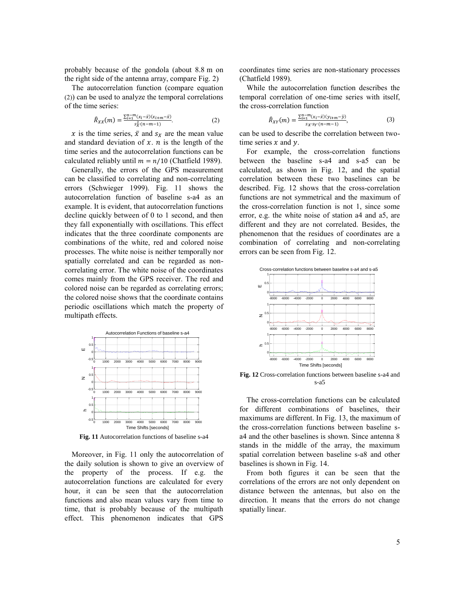probably because of the gondola (about 8.8 m on the right side of the antenna array, compare [Fig. 2\)](#page-1-1)

The autocorrelation function (compare equation [\(2\)](#page-4-0)) can be used to analyze the temporal correlations of the time series:

$$
\hat{R}_{XX}(m) = \frac{\sum_{i=1}^{n-m} (x_i - \bar{x})(x_{i+m} - \bar{x})}{s_X^2 \cdot (n-m-1)}.
$$
\n(2)

x is the time series,  $\bar{x}$  and  $s_x$  are the mean value and standard deviation of  $x$ .  $n$  is the length of the time series and the autocorrelation functions can be calculated reliably until  $m = n/10$  (Chatfield 1989).

Generally, the errors of the GPS measurement can be classified to correlating and non-correlating errors (Schwieger 1999). [Fig. 11](#page-4-1) shows the autocorrelation function of baseline s-a4 as an example. It is evident, that autocorrelation functions decline quickly between of 0 to 1 second, and then they fall exponentially with oscillations. This effect indicates that the three coordinate components are combinations of the white, red and colored noise processes. The white noise is neither temporally nor spatially correlated and can be regarded as noncorrelating error. The white noise of the coordinates comes mainly from the GPS receiver. The red and colored noise can be regarded as correlating errors; the colored noise shows that the coordinate contains periodic oscillations which match the property of multipath effects.



<span id="page-4-1"></span>**Fig. 11** Autocorrelation functions of baseline s-a4

Moreover, in [Fig. 11](#page-4-1) only the autocorrelation of the daily solution is shown to give an overview of the property of the process. If e.g. the autocorrelation functions are calculated for every hour, it can be seen that the autocorrelation functions and also mean values vary from time to time, that is probably because of the multipath effect. This phenomenon indicates that GPS

coordinates time series are non-stationary processes (Chatfield 1989).

While the autocorrelation function describes the temporal correlation of one-time series with itself, the cross-correlation function

$$
\hat{R}_{XY}(m) = \frac{\sum_{i=1}^{n-m} (x_i - \bar{x})(y_{i+m} - \bar{y})}{s_X \cdot s_Y \cdot (n-m-1)},
$$
\n(3)

<span id="page-4-0"></span>can be used to describe the correlation between twotime series  $x$  and  $y$ .

For example, the cross-correlation functions between the baseline s-a4 and s-a5 can be calculated, as shown in [Fig. 12,](#page-4-2) and the spatial correlation between these two baselines can be described. [Fig. 12](#page-4-2) shows that the cross-correlation functions are not symmetrical and the maximum of the cross-correlation function is not 1, since some error, e.g. the white noise of station a4 and a5, are different and they are not correlated. Besides, the phenomenon that the residues of coordinates are a combination of correlating and non-correlating errors can be seen fro[m Fig. 12.](#page-4-2)



<span id="page-4-2"></span>**Fig. 12** Cross-correlation functions between baseline s-a4 and s-a5

The cross-correlation functions can be calculated for different combinations of baselines, their maximums are different. In [Fig. 13,](#page-5-0) the maximum of the cross-correlation functions between baseline sa4 and the other baselines is shown. Since antenna 8 stands in the middle of the array, the maximum spatial correlation between baseline s-a8 and other baselines is shown i[n Fig. 14.](#page-5-1)

From both figures it can be seen that the correlations of the errors are not only dependent on distance between the antennas, but also on the direction. It means that the errors do not change spatially linear.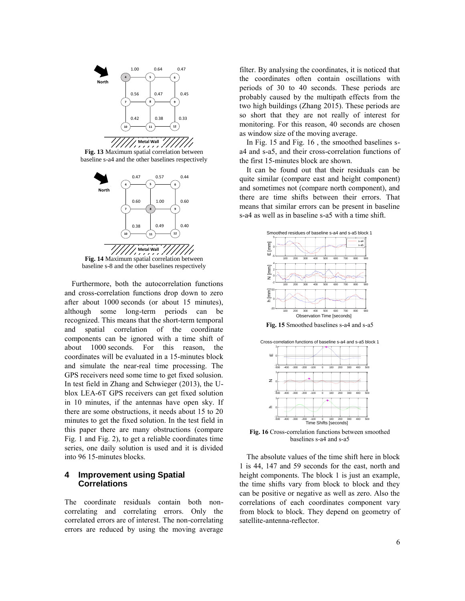

<span id="page-5-0"></span>**Fig. 13** Maximum spatial correlation between baseline s-a4 and the other baselines respectively



<span id="page-5-1"></span>baseline s-8 and the other baselines respectively

Furthermore, both the autocorrelation functions and cross-correlation functions drop down to zero after about 1000 seconds (or about 15 minutes), although some long-term periods can be recognized. This means that the short-term temporal and spatial correlation of the coordinate components can be ignored with a time shift of about  $1000$  seconds. For this reason, the coordinates will be evaluated in a 15-minutes block and simulate the near-real time processing. The GPS receivers need some time to get fixed solusion. In test field in Zhang and Schwieger (2013), the Ublox LEA-6T GPS receivers can get fixed solution in 10 minutes, if the antennas have open sky. If there are some obstructions, it needs about 15 to 20 minutes to get the fixed solution. In the test field in this paper there are many obstructions (compare [Fig. 1](#page-1-0) and [Fig. 2\)](#page-1-1), to get a reliable coordinates time series, one daily solution is used and it is divided into 96 15-minutes blocks. 4

## **4 Improvement using Spatial Correlations**

The coordinate residuals contain both noncorrelating and correlating errors. Only the correlated errors are of interest. The non-correlating errors are reduced by using the moving average

filter. By analysing the coordinates, it is noticed that the coordinates often contain oscillations with periods of 30 to 40 seconds. These periods are probably caused by the multipath effects from the two high buildings (Zhang 2015). These periods are so short that they are not really of interest for monitoring. For this reason, 40 seconds are chosen as window size of the moving average.

In [Fig. 15](#page-5-2) and [Fig. 16](#page-5-3) , the smoothed baselines sa4 and s-a5, and their cross-correlation functions of the first 15-minutes block are shown.

It can be found out that their residuals can be quite similar (compare east and height component) and sometimes not (compare north component), and there are time shifts between their errors. That means that similar errors can be present in baseline s-a4 as well as in baseline s-a5 with a time shift.





<span id="page-5-2"></span>

<span id="page-5-3"></span>**Fig. 16** Cross-correlation functions between smoothed baselines s-a4 and s-a5

The absolute values of the time shift here in block 1 is 44, 147 and 59 seconds for the east, north and height components. The block 1 is just an example, the time shifts vary from block to block and they can be positive or negative as well as zero. Also the correlations of each coordinates component vary from block to block. They depend on geometry of satellite-antenna-reflector.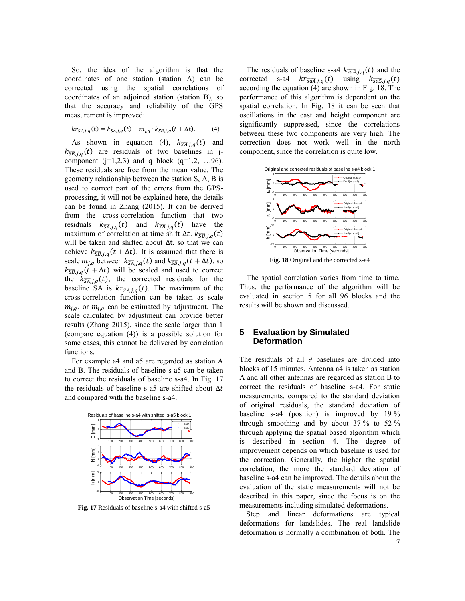So, the idea of the algorithm is that the coordinates of one station (station A) can be corrected using the spatial correlations of coordinates of an adjoined station (station B), so that the accuracy and reliability of the GPS measurement is improved:

$$
kr_{\overline{SA},j,q}(t) = k_{\overline{SA},j,q}(t) - m_{j,q} \cdot k_{\overline{SB},j,q}(t + \Delta t). \tag{4}
$$

As shown in equation [\(4\),](#page-6-0)  $k_{\overline{SA},j,q}(t)$  and  $k_{\overline{SB},j,q}(t)$  are residuals of two baselines in jcomponent  $(j=1,2,3)$  and q block  $(q=1,2, \ldots, 96)$ . These residuals are free from the mean value. The geometry relationship between the station S, A, B is used to correct part of the errors from the GPSprocessing, it will not be explained here, the details can be found in Zhang (2015). It can be derived from the cross-correlation function that two residuals  $k_{\overline{SA},j,q}(t)$  and  $k_{\overline{SB},j,q}(t)$  have the maximum of correlation at time shift  $\Delta t$ .  $k_{\overline{SB},j,q}(t)$ will be taken and shifted about ∆t, so that we can achieve  $k_{\overline{SB},j,q}(t + \Delta t)$ . It is assumed that there is scale  $m_{j,q}$  between  $k_{\overline{SA},j,q}(t)$  and  $k_{\overline{SB},j,q}(t + \Delta t)$ , so  $k_{\overline{SB},j,q}(t + \Delta t)$  will be scaled and used to correct the  $k_{\overline{SA},j,q}(t)$ , the corrected residuals for the baseline SA is  $kr_{\overline{SA},j,q}(t)$ . The maximum of the cross-correlation function can be taken as scale  $m_{j,q}$ , or  $m_{j,q}$  can be estimated by adjustment. The scale calculated by adjustment can provide better results (Zhang 2015), since the scale larger than 1 (compare equation [\(4\)\)](#page-6-0) is a possible solution for some cases, this cannot be delivered by correlation functions.

For example a4 and a5 are regarded as station A and B. The residuals of baseline s-a5 can be taken to correct the residuals of baseline s-a4. In [Fig. 17](#page-6-1) the residuals of baseline s-a5 are shifted about  $\Delta t$ and compared with the baseline s-a4.



<span id="page-6-1"></span>**Fig. 17** Residuals of baseline s-a4 with shifted s-a5

<span id="page-6-0"></span>The residuals of baseline s-a4  $k_{\overline{sa4},j,q}(t)$  and the corrected s-a4  $kr_{\overline{sa4},j,q}(t)$  using  $k_{\overline{sa5},j,q}(t)$ according the equation [\(4\)](#page-6-0) are shown in [Fig. 18.](#page-6-2) The performance of this algorithm is dependent on the spatial correlation. In [Fig. 18](#page-6-2) it can be seen that oscillations in the east and height component are significantly suppressed, since the correlations between these two components are very high. The correction does not work well in the north component, since the correlation is quite low.



<span id="page-6-2"></span>The spatial correlation varies from time to time. Thus, the performance of the algorithm will be evaluated in section 5 for all 96 blocks and the results will be shown and discussed.

## **5 Evaluation by Simulated Deformation**

The residuals of all 9 baselines are divided into blocks of 15 minutes. Antenna a4 is taken as station A and all other antennas are regarded as station B to correct the residuals of baseline s-a4. For static measurements, compared to the standard deviation of original residuals, the standard deviation of baseline s-a4 (position) is improved by 19 % through smoothing and by about 37 % to 52 % through applying the spatial based algorithm which is described in section 4. The degree of improvement depends on which baseline is used for the correction. Generally, the higher the spatial correlation, the more the standard deviation of baseline s-a4 can be improved. The details about the evaluation of the static measurements will not be described in this paper, since the focus is on the measurements including simulated deformations.

Step and linear deformations are typical deformations for landslides. The real landslide deformation is normally a combination of both. The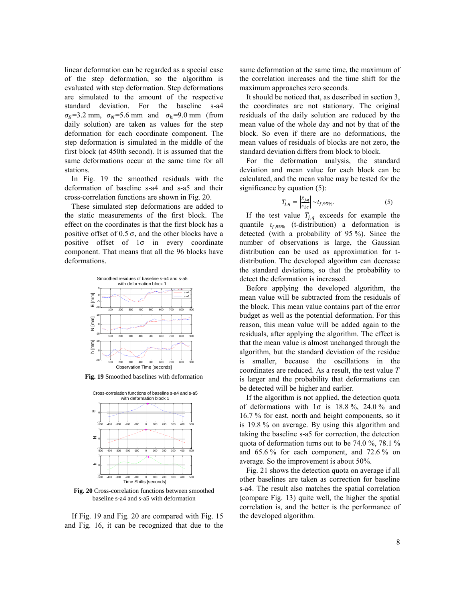linear deformation can be regarded as a special case of the step deformation, so the algorithm is evaluated with step deformation. Step deformations are simulated to the amount of the respective standard deviation. For the baseline s-a4  $\sigma_E$ =3.2 mm,  $\sigma_N$ =5.6 mm and  $\sigma_h$ =9.0 mm (from daily solution) are taken as values for the step deformation for each coordinate component. The step deformation is simulated in the middle of the first block (at 450th second). It is assumed that the same deformations occur at the same time for all stations.

In [Fig. 19](#page-7-0) the smoothed residuals with the deformation of baseline s-a4 and s-a5 and their cross-correlation functions are shown in [Fig. 20.](#page-7-1)

These simulated step deformations are added to the static measurements of the first block. The effect on the coordinates is that the first block has a positive offset of  $0.5 \sigma$ , and the other blocks have a positive offset of 1σ in every coordinate component. That means that all the 96 blocks have deformations.



<span id="page-7-0"></span>**Fig. 19** Smoothed baselines with deformation



<span id="page-7-1"></span>**Fig. 20** Cross-correlation functions between smoothed baseline s-a4 and s-a5 with deformation

If [Fig. 19](#page-7-0) and [Fig. 20](#page-7-1) are compared with [Fig. 15](#page-5-2) and [Fig. 16,](#page-5-3) it can be recognized that due to the same deformation at the same time, the maximum of the correlation increases and the time shift for the maximum approaches zero seconds.

It should be noticed that, as described in section 3, the coordinates are not stationary. The original residuals of the daily solution are reduced by the mean value of the whole day and not by that of the block. So even if there are no deformations, the mean values of residuals of blocks are not zero, the standard deviation differs from block to block.

For the deformation analysis, the standard deviation and mean value for each block can be calculated, and the mean value may be tested for the significance by equatio[n \(5\):](#page-7-2)

<span id="page-7-2"></span>
$$
T_{j,q} = \left| \frac{\bar{x}_{j,q}}{s_{j,q}} \right| \sim t_{f,95\%}. \tag{5}
$$

If the test value  $T_{j,q}$  exceeds for example the quantile  $t_{f,95\%}$  (t-distribution) a deformation is detected (with a probability of 95 %). Since the number of observations is large, the Gaussian distribution can be used as approximation for tdistribution. The developed algorithm can decrease the standard deviations, so that the probability to detect the deformation is increased.

Before applying the developed algorithm, the mean value will be subtracted from the residuals of the block. This mean value contains part of the error budget as well as the potential deformation. For this reason, this mean value will be added again to the residuals, after applying the algorithm. The effect is that the mean value is almost unchanged through the algorithm, but the standard deviation of the residue is smaller, because the oscillations in the coordinates are reduced. As a result, the test value is larger and the probability that deformations can be detected will be higher and earlier.

If the algorithm is not applied, the detection quota of deformations with  $1\sigma$  is  $18.8\%$ ,  $24.0\%$  and 16.7 % for east, north and height components, so it is 19.8 % on average. By using this algorithm and taking the baseline s-a5 for correction, the detection quota of deformation turns out to be 74.0 %, 78.1 % and 65.6 % for each component, and 72.6 % on average. So the improvement is about 50%.

[Fig. 21](#page-8-0) shows the detection quota on average if all other baselines are taken as correction for baseline s-a4. The result also matches the spatial correlation (compare [Fig. 13\)](#page-5-0) quite well, the higher the spatial correlation is, and the better is the performance of the developed algorithm.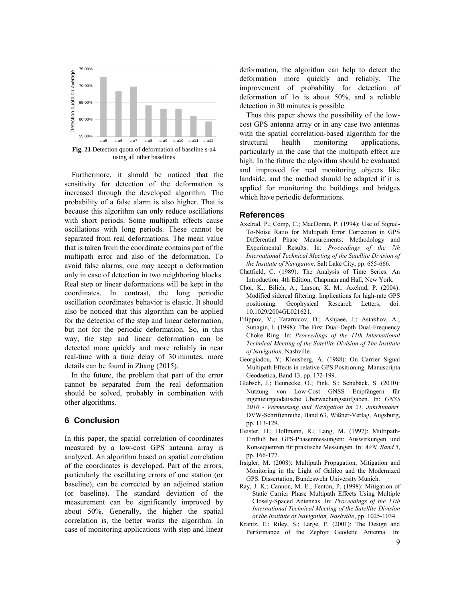

<span id="page-8-0"></span>Furthermore, it should be noticed that the sensitivity for detection of the deformation is increased through the developed algorithm. The probability of a false alarm is also higher. That is because this algorithm can only reduce oscillations with short periods. Some multipath effects cause oscillations with long periods. These cannot be separated from real deformations. The mean value that is taken from the coordinate contains part of the multipath error and also of the deformation. To avoid false alarms, one may accept a deformation only in case of detection in two neighboring blocks. Real step or linear deformations will be kept in the coordinates. In contrast, the long periodic oscillation coordinates behavior is elastic. It should also be noticed that this algorithm can be applied for the detection of the step and linear deformation, but not for the periodic deformation. So, in this way, the step and linear deformation can be detected more quickly and more reliably in near real-time with a time delay of 30 minutes, more details can be found in Zhang (2015).

In the future, the problem that part of the error cannot be separated from the real deformation should be solved, probably in combination with other algorithms.

## **6 Conclusion**

In this paper, the spatial correlation of coordinates measured by a low-cost GPS antenna array is analyzed. An algorithm based on spatial correlation of the coordinates is developed. Part of the errors, particularly the oscillating errors of one station (or baseline), can be corrected by an adjoined station (or baseline). The standard deviation of the measurement can be significantly improved by about 50%. Generally, the higher the spatial correlation is, the better works the algorithm. In case of monitoring applications with step and linear

deformation, the algorithm can help to detect the deformation more quickly and reliably. The improvement of probability for detection of deformation of 1σ is about 50%, and a reliable detection in 30 minutes is possible.

Thus this paper shows the possibility of the lowcost GPS antenna array or in any case two antennas with the spatial correlation-based algorithm for the structural health monitoring applications, particularly in the case that the multipath effect are high. In the future the algorithm should be evaluated and improved for real monitoring objects like landside, and the method should be adapted if it is applied for monitoring the buildings and bridges which have periodic deformations.

#### **References**

- Axelrad, P.; Comp, C.; MacDoran, P. (1994): Use of Signal-To-Noise Ratio for Multipath Error Correction in GPS Differential Phase Measurements: Methodology and Experimental Results. In: *Proceedings of the 7th International Technical Meeting of the Satellite Division of the Institute of Navigation,* Salt Lake City, pp. 655-666.
- Chatfield, C. (1989): The Analysis of Time Series: An Introduction. 4th Edition, Chapman and Hall, New York.
- Choi, K.; Bilich, A.; Larson, K. M.; Axelrad, P. (2004): Modified sidereal filtering: Implications for high-rate GPS positioning. Geophysical Research Letters, doi: 10.1029/2004GL021621.
- Filippov, V.; Tatarnicov, D.; Ashjaee, J.; Astakhov, A.; Sutiagin, I. (1998): The First Dual-Depth Dual-Frequency Choke Ring. In: *Proceedings of the 11th International Technical Meeting of the Satellite Division of The Institute of Navigation,* Nashville.
- Georgiadou, Y; Kleusberg, A. (1988): On Carrier Signal Multipath Effects in relative GPS Positioning. Manuscripta Geodaetica, Band 13, pp. 172-199.
- Glabsch, J.; Heunecke, O.; Pink, S.; Schubäck, S. (2010): Nutzung von Low-Cost GNSS Empfängern für ingenieurgeodätische Überwachungsaufgaben. In: *GNSS 2010 - Vermessung und Navigation im 21. Jahrhundert.* DVW-Schriftenreihe, Band 63, Wißner-Verlag, Augsburg, pp. 113-129.
- Heister, H.; Hollmann, R.; Lang, M. (1997): Multipath-Einfluß bei GPS-Phasenmessungen: Auswirkungen und Konsequenzen für praktische Messungen. In: *AVN, Band 5*, pp. 166-177.
- Irsigler, M. (2008): Multipath Propagation, Mitigation and Monitoring in the Light of Galileo and the Modernized GPS. Dissertation, Bundeswehr University Munich.
- Ray, J. K.; Cannon, M. E.; Fenton, P. (1998): Mitigation of Static Carrier Phase Multipath Effects Using Multiple Closely-Spaced Antennas. In: *Proceedings of the 11th International Technical Meeting of the Satellite Division of the Institute of Navigation, Nashville*, pp. 1025-1034.
- Krantz, E.; Riley, S.; Large, P. (2001): The Design and Performance of the Zephyr Geodetic Antenna. In: